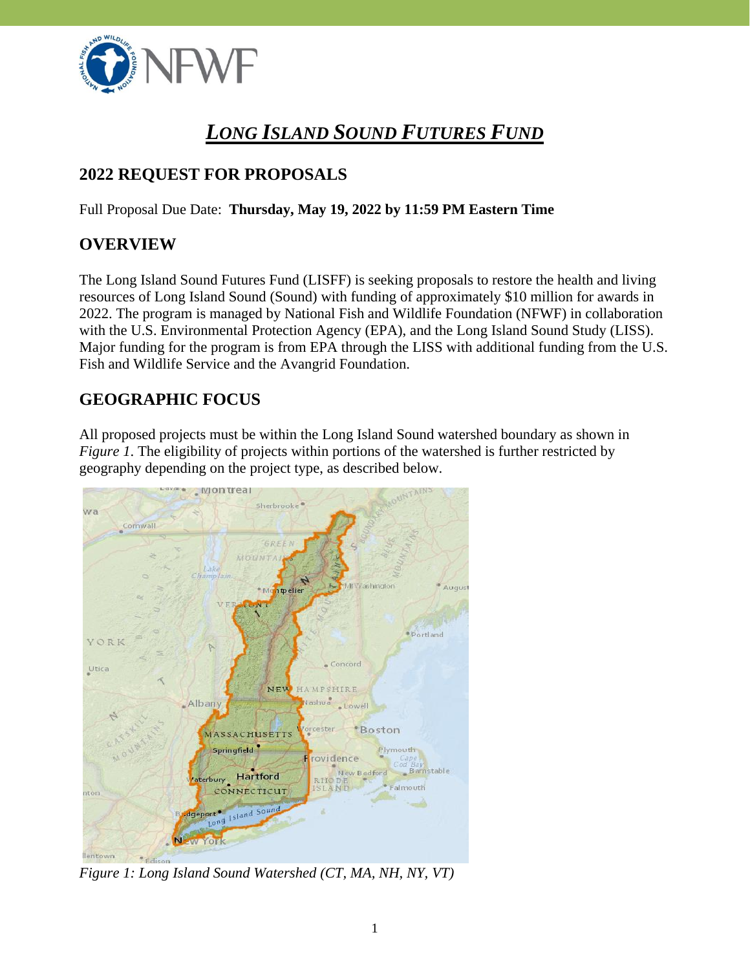

# *LONG ISLAND SOUND FUTURES FUND*

# **2022 REQUEST FOR PROPOSALS**

Full Proposal Due Date: **Thursday, May 19, 2022 by 11:59 PM Eastern Time**

### **OVERVIEW**

The Long Island Sound Futures Fund (LISFF) is seeking proposals to restore the health and living resources of Long Island Sound (Sound) with funding of approximately \$10 million for awards in 2022. The program is managed by National Fish and Wildlife Foundation (NFWF) in collaboration with the U.S. Environmental Protection Agency (EPA), and the Long Island Sound Study (LISS). Major funding for the program is from EPA through the LISS with additional funding from the U.S. Fish and Wildlife Service and the Avangrid Foundation.

# **GEOGRAPHIC FOCUS**

All proposed projects must be within the Long Island Sound watershed boundary as shown in *Figure 1*. The eligibility of projects within portions of the watershed is further restricted by geography depending on the project type, as described below.



*Figure 1: Long Island Sound Watershed (CT, MA, NH, NY, VT)*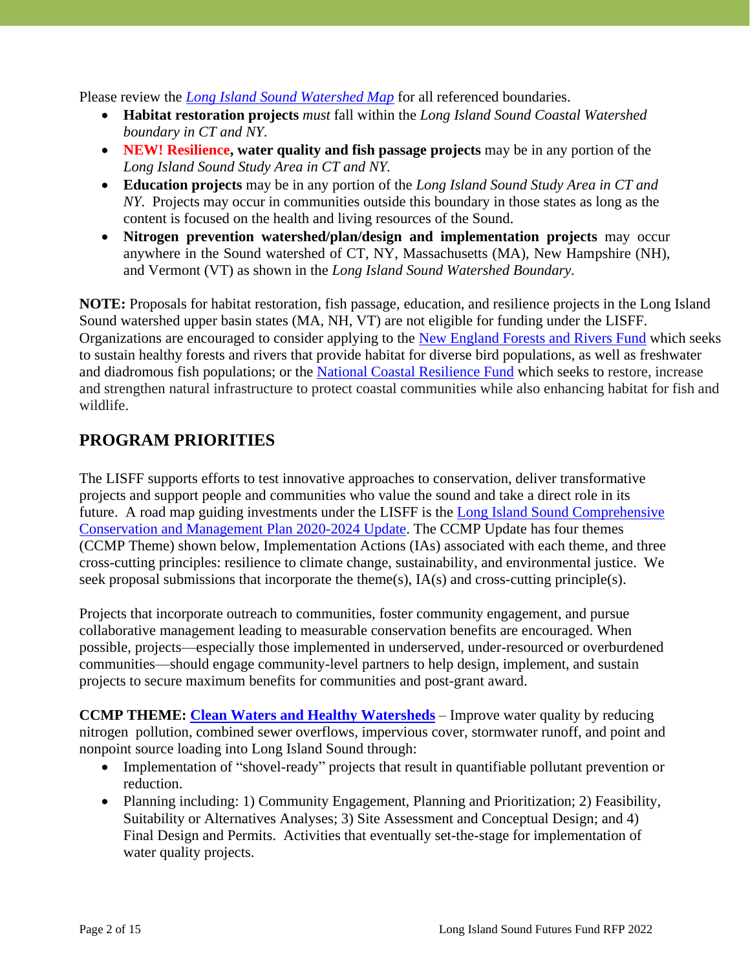Please review the *[Long Island Sound Watershed Map](https://nfwf.maps.arcgis.com/apps/webappviewer/index.html?id=0e3a87a189e8458195217e18c36ded59)* for all referenced boundaries.

- **Habitat restoration projects** *must* fall within the *Long Island Sound Coastal Watershed boundary in CT and NY*.
- **NEW! Resilience, water quality and fish passage projects** may be in any portion of the *Long Island Sound Study Area in CT and NY.*
- **Education projects** may be in any portion of the *Long Island Sound Study Area in CT and NY*. Projects may occur in communities outside this boundary in those states as long as the content is focused on the health and living resources of the Sound.
- **Nitrogen prevention watershed/plan/design and implementation projects** may occur anywhere in the Sound watershed of CT, NY, Massachusetts (MA), New Hampshire (NH), and Vermont (VT) as shown in the *Long Island Sound Watershed Boundary.*

**NOTE:** Proposals for habitat restoration, fish passage, education, and resilience projects in the Long Island Sound watershed upper basin states (MA, NH, VT) are not eligible for funding under the LISFF. Organizations are encouraged to consider applying to the [New England Forests and Rivers Fund](http://www.nfwf.org/newengland) which seeks to sustain healthy forests and rivers that provide habitat for diverse bird populations, as well as freshwater and diadromous fish populations; or the [National Coastal Resilience Fund](https://www.nfwf.org/programs/national-coastal-resilience-fund) which seeks to restore, increase and strengthen natural infrastructure to protect coastal communities while also enhancing habitat for fish and wildlife.

## **PROGRAM PRIORITIES**

The LISFF supports efforts to test innovative approaches to conservation, deliver transformative projects and support people and communities who value the sound and take a direct role in its future. A road map guiding investments under the LISFF is the [Long Island Sound Comprehensive](https://longislandsoundstudy.net/wp-content/uploads/2021/01/LISSCCMP-Update-2020-2024.pdf)  Conservation [and Management Plan](https://longislandsoundstudy.net/wp-content/uploads/2021/01/LISSCCMP-Update-2020-2024.pdf) 2020-2024 Update. The CCMP Update has four themes (CCMP Theme) shown below, Implementation Actions (IAs) associated with each theme, and three cross-cutting principles: resilience to climate change, sustainability, and environmental justice. We seek proposal submissions that incorporate the theme(s), IA(s) and cross-cutting principle(s).

Projects that incorporate outreach to communities, foster community engagement, and pursue collaborative management leading to measurable conservation benefits are encouraged. When possible, projects—especially those implemented in underserved, under-resourced or overburdened communities—should engage community-level partners to help design, implement, and sustain projects to secure maximum benefits for communities and post-grant award.

**CCMP THEME: [Clean Waters and Healthy Watersheds](https://longislandsoundstudy.net/wp-content/uploads/2021/02/1-WW-CCMP-Technical-Supplemental-Document_2020-2024_Final_NewLogo.pdf)** – Improve water quality by reducing nitrogen pollution, combined sewer overflows, impervious cover, stormwater runoff, and point and nonpoint source loading into Long Island Sound through:

- Implementation of "shovel-ready" projects that result in quantifiable pollutant prevention or reduction.
- Planning including: 1) Community Engagement, Planning and Prioritization; 2) Feasibility, Suitability or Alternatives Analyses; 3) Site Assessment and Conceptual Design; and 4) Final Design and Permits. Activities that eventually set-the-stage for implementation of water quality projects.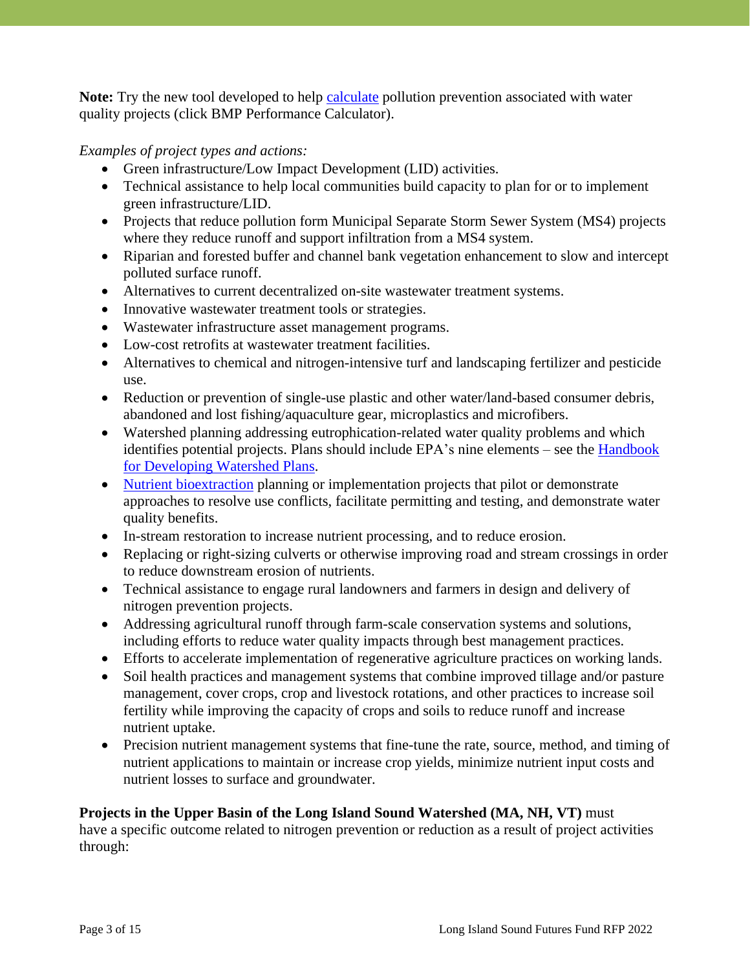Note: Try the new tool developed to help **calculate** pollution prevention associated with water quality projects (click BMP Performance Calculator).

*Examples of project types and actions:*

- Green infrastructure/Low Impact Development (LID) activities.
- Technical assistance to help local communities build capacity to plan for or to implement green infrastructure/LID.
- Projects that reduce pollution form Municipal Separate Storm Sewer System (MS4) projects where they reduce runoff and support infiltration from a MS4 system.
- Riparian and forested buffer and channel bank vegetation enhancement to slow and intercept polluted surface runoff.
- Alternatives to current decentralized on-site wastewater treatment systems.
- Innovative wastewater treatment tools or strategies.
- Wastewater infrastructure asset management programs.
- Low-cost retrofits at wastewater treatment facilities.
- Alternatives to chemical and nitrogen-intensive turf and landscaping fertilizer and pesticide use.
- Reduction or prevention of single-use plastic and other water/land-based consumer debris, abandoned and lost fishing/aquaculture gear, microplastics and microfibers.
- Watershed planning addressing eutrophication-related water quality problems and which identifies potential projects. Plans should include EPA's nine elements – see the [Handbook](https://www.epa.gov/nps/handbook-developing-watershed-plans-restore-and-protect-our-waters)  [for Developing Watershed Plans.](https://www.epa.gov/nps/handbook-developing-watershed-plans-restore-and-protect-our-waters)
- [Nutrient bioextraction](http://longislandsoundstudy.net/our-vision-and-plan/clean-waters-and-healthy-watersheds/nutrient-bioextraction-overview/) planning or implementation projects that pilot or demonstrate approaches to resolve use conflicts, facilitate permitting and testing, and demonstrate water quality benefits.
- In-stream restoration to increase nutrient processing, and to reduce erosion.
- Replacing or right-sizing culverts or otherwise improving road and stream crossings in order to reduce downstream erosion of nutrients.
- Technical assistance to engage rural landowners and farmers in design and delivery of nitrogen prevention projects.
- Addressing agricultural runoff through farm-scale conservation systems and solutions, including efforts to reduce water quality impacts through best management practices.
- Efforts to accelerate implementation of regenerative agriculture practices on working lands.
- Soil health practices and management systems that combine improved tillage and/or pasture management, cover crops, crop and livestock rotations, and other practices to increase soil fertility while improving the capacity of crops and soils to reduce runoff and increase nutrient uptake.
- Precision nutrient management systems that fine-tune the rate, source, method, and timing of nutrient applications to maintain or increase crop yields, minimize nutrient input costs and nutrient losses to surface and groundwater.

### **Projects in the Upper Basin of the Long Island Sound Watershed (MA, NH, VT)** must

have a specific outcome related to nitrogen prevention or reduction as a result of project activities through: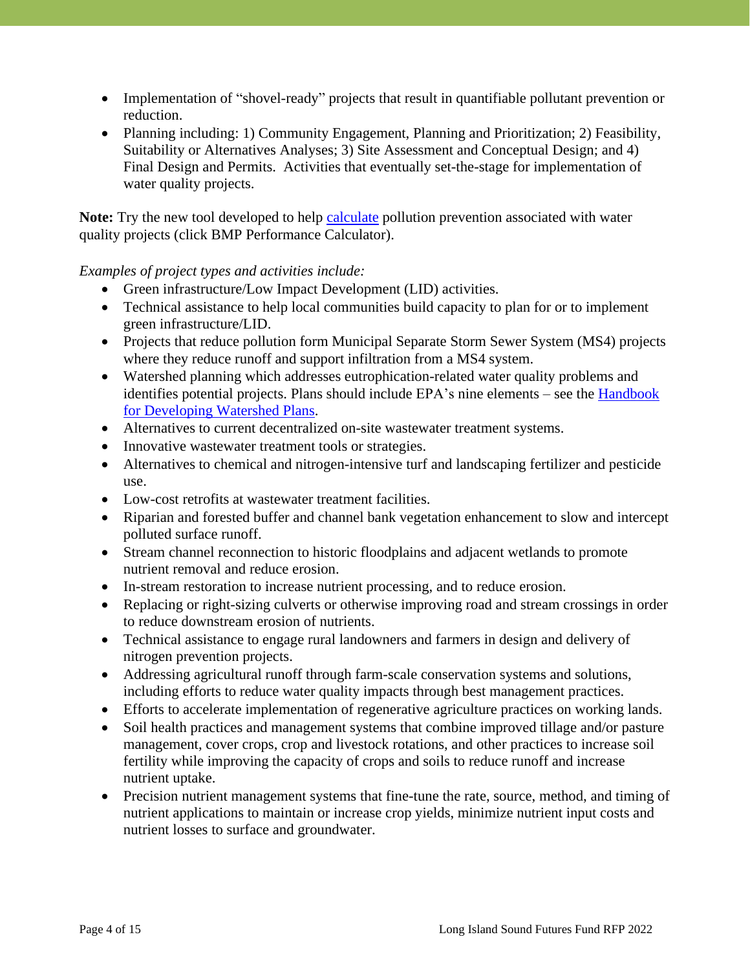- Implementation of "shovel-ready" projects that result in quantifiable pollutant prevention or reduction.
- Planning including: 1) Community Engagement, Planning and Prioritization; 2) Feasibility, Suitability or Alternatives Analyses; 3) Site Assessment and Conceptual Design; and 4) Final Design and Permits. Activities that eventually set-the-stage for implementation of water quality projects.

**Note:** Try the new tool developed to help [calculate](https://urldefense.com/v3/__https:/www.unh.edu/unhsc/ms4-resources__;!!LUFeessN!4D2_yqFHzmgHpB7QlSBf7FUnDE1FggcIne6crIh1S95MfehWNJbE6dulVIX6IvUAZw$) pollution prevention associated with water quality projects (click BMP Performance Calculator).

#### *Examples of project types and activities include:*

- Green infrastructure/Low Impact Development (LID) activities.
- Technical assistance to help local communities build capacity to plan for or to implement green infrastructure/LID.
- Projects that reduce pollution form Municipal Separate Storm Sewer System (MS4) projects where they reduce runoff and support infiltration from a MS4 system.
- Watershed planning which addresses eutrophication-related water quality problems and identifies potential projects. Plans should include EPA's nine elements – see the [Handbook](https://www.epa.gov/nps/handbook-developing-watershed-plans-restore-and-protect-our-waters)  for [Developing Watershed Plans.](https://www.epa.gov/nps/handbook-developing-watershed-plans-restore-and-protect-our-waters)
- Alternatives to current decentralized on-site wastewater treatment systems.
- Innovative wastewater treatment tools or strategies.
- Alternatives to chemical and nitrogen-intensive turf and landscaping fertilizer and pesticide use.
- Low-cost retrofits at wastewater treatment facilities.
- Riparian and forested buffer and channel bank vegetation enhancement to slow and intercept polluted surface runoff.
- Stream channel reconnection to historic floodplains and adjacent wetlands to promote nutrient removal and reduce erosion.
- In-stream restoration to increase nutrient processing, and to reduce erosion.
- Replacing or right-sizing culverts or otherwise improving road and stream crossings in order to reduce downstream erosion of nutrients.
- Technical assistance to engage rural landowners and farmers in design and delivery of nitrogen prevention projects.
- Addressing agricultural runoff through farm-scale conservation systems and solutions, including efforts to reduce water quality impacts through best management practices.
- Efforts to accelerate implementation of regenerative agriculture practices on working lands.
- Soil health practices and management systems that combine improved tillage and/or pasture management, cover crops, crop and livestock rotations, and other practices to increase soil fertility while improving the capacity of crops and soils to reduce runoff and increase nutrient uptake.
- Precision nutrient management systems that fine-tune the rate, source, method, and timing of nutrient applications to maintain or increase crop yields, minimize nutrient input costs and nutrient losses to surface and groundwater.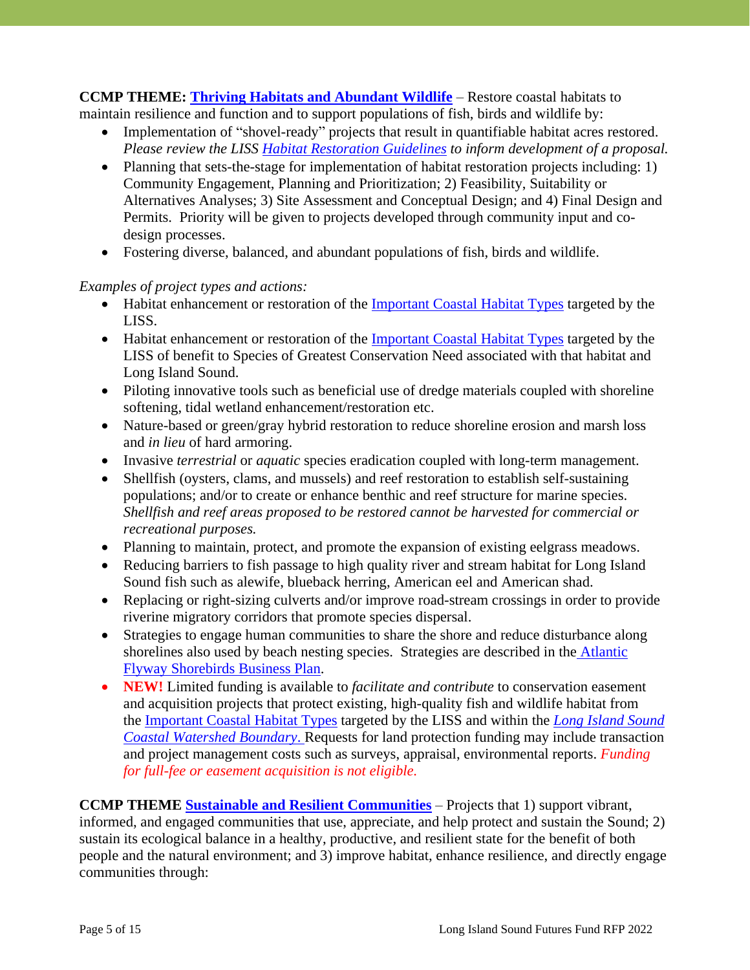**CCMP THEME: [Thriving Habitats and Abundant Wildlife](https://longislandsoundstudy.net/wp-content/uploads/2021/02/2-HW-CCMP-Technical-Supplemental-Document_2020-2024_Final_NewLogo-1.pdf)** – Restore coastal habitats to maintain resilience and function and to support populations of fish, birds and wildlife by:

- Implementation of "shovel-ready" projects that result in quantifiable habitat acres restored. *Please review the LISS [Habitat Restoration Guidelines](http://longislandsoundstudy.net/wp-content/uploads/2014/09/grantguidelines_2017_FINAL.pdf) to inform development of a proposal.*
- Planning that sets-the-stage for implementation of habitat restoration projects including: 1) Community Engagement, Planning and Prioritization; 2) Feasibility, Suitability or Alternatives Analyses; 3) Site Assessment and Conceptual Design; and 4) Final Design and Permits. Priority will be given to projects developed through community input and codesign processes.
- Fostering diverse, balanced, and abundant populations of fish, birds and wildlife.

#### *Examples of project types and actions:*

- Habitat enhancement or restoration of the [Important Coastal](http://longislandsoundstudy.net/our-vision-and-plan/thriving-habitats-and-abundant-wildlife/important-coastal-habitat-types/) Habitat Types targeted by the LISS.
- Habitat enhancement or restoration of the [Important Coastal](http://longislandsoundstudy.net/our-vision-and-plan/thriving-habitats-and-abundant-wildlife/important-coastal-habitat-types/) Habitat Types targeted by the LISS of benefit to Species of Greatest Conservation Need associated with that habitat and Long Island Sound.
- Piloting innovative tools such as beneficial use of dredge materials coupled with shoreline softening, tidal wetland enhancement/restoration etc.
- Nature-based or green/gray hybrid restoration to reduce shoreline erosion and marsh loss and *in lieu* of hard armoring.
- Invasive *terrestrial* or *aquatic* species eradication coupled with long-term management.
- Shellfish (oysters, clams, and mussels) and reef restoration to establish self-sustaining populations; and/or to create or enhance benthic and reef structure for marine species. *Shellfish and reef areas proposed to be restored cannot be harvested for commercial or recreational purposes.*
- Planning to maintain, protect, and promote the expansion of existing eelgrass meadows.
- Reducing barriers to fish passage to high quality river and stream habitat for Long Island Sound fish such as alewife, blueback herring, American eel and American shad.
- Replacing or right-sizing culverts and/or improve road-stream crossings in order to provide riverine migratory corridors that promote species dispersal.
- Strategies to engage human communities to share the shore and reduce disturbance along shorelines also used by beach nesting species. Strategies are described in the [Atlantic](https://www.nfwf.org/sites/default/files/amoy/Documents/afsi-business-plan.pdf) [Flyway Shorebirds Business](https://www.nfwf.org/sites/default/files/amoy/Documents/afsi-business-plan.pdf) Plan.
- **NEW!** Limited funding is available to *facilitate and contribute* to conservation easement and acquisition projects that protect existing, high-quality fish and wildlife habitat from the [Important](http://longislandsoundstudy.net/our-vision-and-plan/thriving-habitats-and-abundant-wildlife/important-coastal-habitat-types/) Coastal Habitat Types targeted by the LISS and within the *Long [Island](https://nfwf.maps.arcgis.com/apps/webappviewer/index.html?id=0e3a87a189e8458195217e18c36ded59) Sound Coastal [Watershed](https://nfwf.maps.arcgis.com/apps/webappviewer/index.html?id=0e3a87a189e8458195217e18c36ded59) Boundary*. Requests for land protection funding may include transaction and project management costs such as surveys, appraisal, environmental reports. *Funding for full-fee or easement acquisition is not eligible.*

**CCMP THEME [Sustainable and Resilient](https://longislandsoundstudy.net/wp-content/uploads/2021/02/3-SC-CCMP-Technical-Supplemental-Document_2020-2024__Final_NewLogo.pdf) Communities** – Projects that 1) support vibrant, informed, and engaged communities that use, appreciate, and help protect and sustain the Sound; 2) sustain its ecological balance in a healthy, productive, and resilient state for the benefit of both people and the natural environment; and 3) improve habitat, enhance resilience, and directly engage communities through: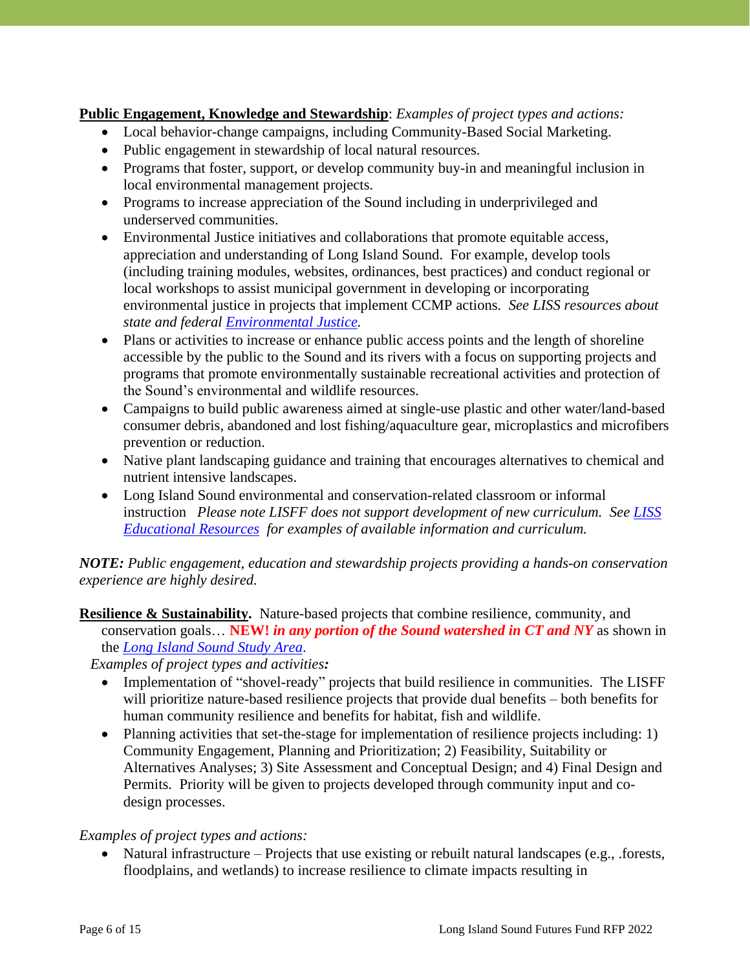**Public Engagement, Knowledge and Stewardship**: *Examples of project types and actions:*

- Local behavior-change campaigns, including Community-Based Social Marketing.
- Public engagement in stewardship of local natural resources.
- Programs that foster, support, or develop community buy-in and meaningful inclusion in local environmental management projects.
- Programs to increase appreciation of the Sound including in underprivileged and underserved communities.
- Environmental Justice initiatives and collaborations that promote equitable access, appreciation and understanding of Long Island Sound. For example, develop tools (including training modules, websites, ordinances, best practices) and conduct regional or local workshops to assist municipal government in developing or incorporating environmental justice in projects that implement CCMP actions. *See LISS resources about state and federal [Environmental Justice.](https://longislandsoundstudy.net/about/committees/environmental-justice-work-group/)*
- Plans or activities to increase or enhance public access points and the length of shoreline accessible by the public to the Sound and its rivers with a focus on supporting projects and programs that promote environmentally sustainable recreational activities and protection of the Sound's environmental and wildlife resources.
- Campaigns to build public awareness aimed at single-use plastic and other water/land-based consumer debris, abandoned and lost fishing/aquaculture gear, microplastics and microfibers prevention or reduction.
- Native plant landscaping guidance and training that encourages alternatives to chemical and nutrient intensive landscapes.
- Long Island Sound environmental and conservation-related classroom or informal instruction *Please note LISFF does not support development of new curriculum. See [LISS](https://www.nfwf.org/sites/default/files/2022-03/lisff-2022-educational-resources.pdf)  [Educational](https://www.nfwf.org/sites/default/files/2022-03/lisff-2022-educational-resources.pdf) Resources for examples of available information and curriculum.*

*NOTE: Public engagement, education and stewardship projects providing a hands-on conservation experience are highly desired.*

**Resilience & Sustainability.** Nature-based projects that combine resilience, community, and conservation goals… **NEW!** *in any portion of the Sound watershed in CT and NY* as shown in the *[Long Island Sound Study](https://nfwf.maps.arcgis.com/apps/webappviewer/index.html?id=0e3a87a189e8458195217e18c36ded59) Area*.

*Examples of project types and activities:*

- Implementation of "shovel-ready" projects that build resilience in communities. The LISFF will prioritize nature-based resilience projects that provide dual benefits – both benefits for human community resilience and benefits for habitat, fish and wildlife.
- Planning activities that set-the-stage for implementation of resilience projects including: 1) Community Engagement, Planning and Prioritization; 2) Feasibility, Suitability or Alternatives Analyses; 3) Site Assessment and Conceptual Design; and 4) Final Design and Permits. Priority will be given to projects developed through community input and codesign processes.

#### *Examples of project types and actions:*

• Natural infrastructure – Projects that use existing or rebuilt natural landscapes (e.g., .forests, floodplains, and wetlands) to increase resilience to climate impacts resulting in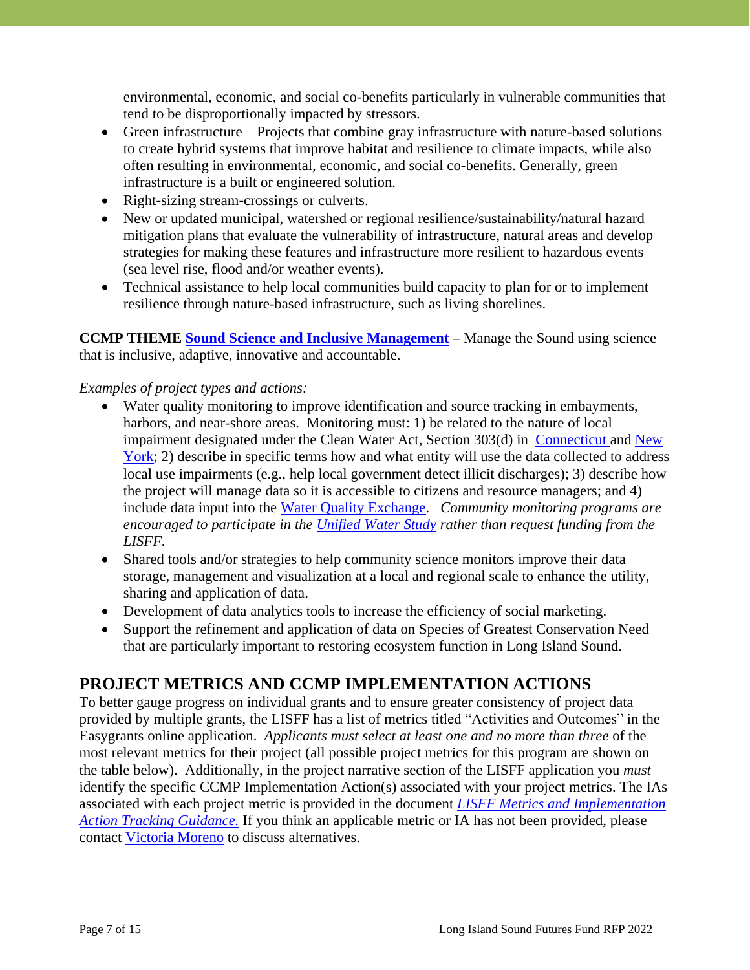environmental, economic, and social co-benefits particularly in vulnerable communities that tend to be disproportionally impacted by stressors.

- Green infrastructure Projects that combine gray infrastructure with nature-based solutions to create hybrid systems that improve habitat and resilience to climate impacts, while also often resulting in environmental, economic, and social co-benefits. Generally, green infrastructure is a built or engineered solution.
- Right-sizing stream-crossings or culverts.
- New or updated municipal, watershed or regional resilience/sustainability/natural hazard mitigation plans that evaluate the vulnerability of infrastructure, natural areas and develop strategies for making these features and infrastructure more resilient to hazardous events (sea level rise, flood and/or weather events).
- Technical assistance to help local communities build capacity to plan for or to implement resilience through nature-based infrastructure, such as living shorelines.

**CCMP THEME [Sound Science and Inclusive](https://longislandsoundstudy.net/wp-content/uploads/2021/02/4-SM-CCMP-Technical-Supplemental-Document_2020-2024_Final_NewLogo_rev.pdf) Management –** Manage the Sound using science that is inclusive, adaptive, innovative and accountable.

#### *Examples of project types and actions:*

- Water quality monitoring to improve identification and source tracking in embayments, harbors, and near-shore areas. Monitoring must: 1) be related to the nature of local impairment designated under the Clean Water Act, Section 303(d) in [Connecticut a](http://www.ct.gov/deep/cwp/view.asp?a=2719&q=325610&deepNav_GID=1654%20)nd [New](http://www.dec.ny.gov/chemical/66532.html)  [York;](http://www.dec.ny.gov/chemical/66532.html) 2) describe in specific terms how and what entity will use the data collected to address local use impairments (e.g., help local government detect illicit discharges); 3) describe how the project will manage data so it is accessible to citizens and resource managers; and 4) include data input into the [Water Quality](https://www.epa.gov/waterdata/water-quality-data-wqx) Exchange. *Community monitoring programs are encouraged to participate in the [Unified Water Study](https://www.savethesound.org/unified-water-study/partners) rather than request funding from the LISFF.*
- Shared tools and/or strategies to help community science monitors improve their data storage, management and visualization at a local and regional scale to enhance the utility, sharing and application of data.
- Development of data analytics tools to increase the efficiency of social marketing.
- Support the refinement and application of data on Species of Greatest Conservation Need that are particularly important to restoring ecosystem function in Long Island Sound.

### **PROJECT METRICS AND CCMP IMPLEMENTATION ACTIONS**

To better gauge progress on individual grants and to ensure greater consistency of project data provided by multiple grants, the LISFF has a list of metrics titled "Activities and Outcomes" in the Easygrants online application. *Applicants must select at least one and no more than three* of the most relevant metrics for their project (all possible project metrics for this program are shown on the table below). Additionally, in the project narrative section of the LISFF application you *must* identify the specific CCMP Implementation Action(s) associated with your project metrics. The IAs associated with each project metric is provided in the document *LISFF Metrics [and Implementation](https://www.nfwf.org/sites/default/files/2022-03/lisff-metrics-ia-tracking-guidance.pdf)  [Action Tracking Guidance.](https://www.nfwf.org/sites/default/files/2022-03/lisff-metrics-ia-tracking-guidance.pdf)* If you think an applicable metric or IA has not been provided, please contact [Victoria](mailto:Victoria.Moreno@nfwf.org) Moreno to discuss alternatives.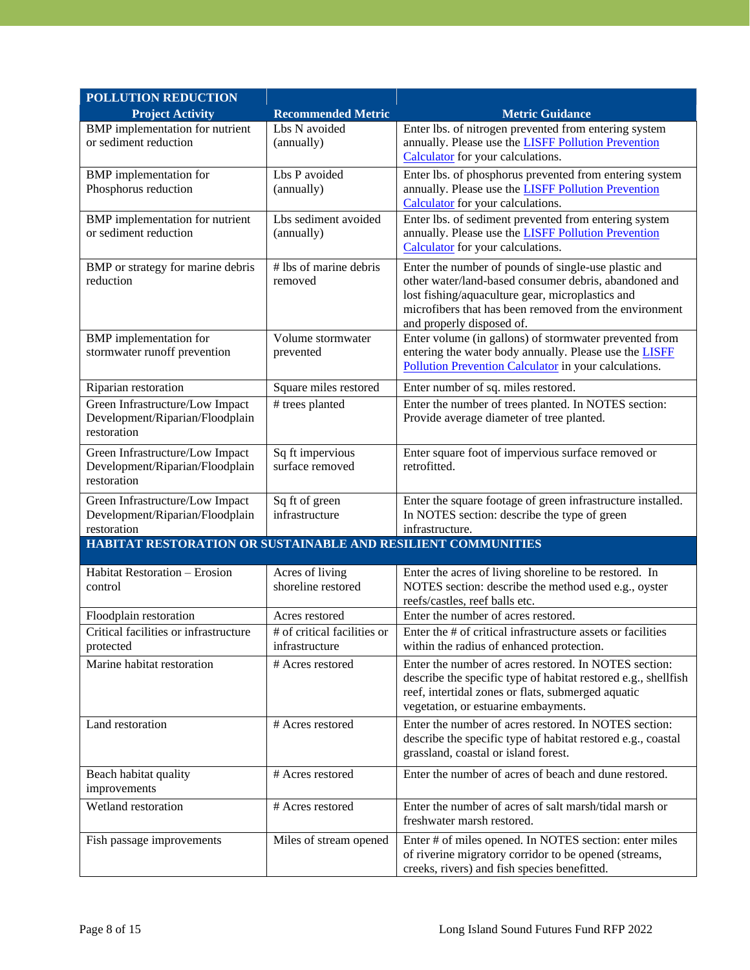| <b>POLLUTION REDUCTION</b>                                                        |                                               |                                                                                                                                                                                                                                                          |
|-----------------------------------------------------------------------------------|-----------------------------------------------|----------------------------------------------------------------------------------------------------------------------------------------------------------------------------------------------------------------------------------------------------------|
| <b>Project Activity</b>                                                           | <b>Recommended Metric</b>                     | <b>Metric Guidance</b>                                                                                                                                                                                                                                   |
| BMP implementation for nutrient<br>or sediment reduction                          | Lbs N avoided<br>(annually)                   | Enter lbs. of nitrogen prevented from entering system<br>annually. Please use the <b>LISFF Pollution Prevention</b><br>Calculator for your calculations.                                                                                                 |
| <b>BMP</b> implementation for<br>Phosphorus reduction                             | Lbs P avoided<br>(annually)                   | Enter lbs. of phosphorus prevented from entering system<br>annually. Please use the <b>LISFF Pollution Prevention</b><br>Calculator for your calculations.                                                                                               |
| BMP implementation for nutrient<br>or sediment reduction                          | Lbs sediment avoided<br>(annually)            | Enter lbs. of sediment prevented from entering system<br>annually. Please use the <b>LISFF Pollution Prevention</b><br>Calculator for your calculations.                                                                                                 |
| BMP or strategy for marine debris<br>reduction                                    | # lbs of marine debris<br>removed             | Enter the number of pounds of single-use plastic and<br>other water/land-based consumer debris, abandoned and<br>lost fishing/aquaculture gear, microplastics and<br>microfibers that has been removed from the environment<br>and properly disposed of. |
| <b>BMP</b> implementation for<br>stormwater runoff prevention                     | Volume stormwater<br>prevented                | Enter volume (in gallons) of stormwater prevented from<br>entering the water body annually. Please use the LISFF<br>Pollution Prevention Calculator in your calculations.                                                                                |
| Riparian restoration                                                              | Square miles restored                         | Enter number of sq. miles restored.                                                                                                                                                                                                                      |
| Green Infrastructure/Low Impact<br>Development/Riparian/Floodplain<br>restoration | # trees planted                               | Enter the number of trees planted. In NOTES section:<br>Provide average diameter of tree planted.                                                                                                                                                        |
| Green Infrastructure/Low Impact<br>Development/Riparian/Floodplain<br>restoration | Sq ft impervious<br>surface removed           | Enter square foot of impervious surface removed or<br>retrofitted.                                                                                                                                                                                       |
| Green Infrastructure/Low Impact<br>Development/Riparian/Floodplain<br>restoration | Sq ft of green<br>infrastructure              | Enter the square footage of green infrastructure installed.<br>In NOTES section: describe the type of green<br>infrastructure.                                                                                                                           |
| HABITAT RESTORATION OR SUSTAINABLE AND RESILIENT COMMUNITIES                      |                                               |                                                                                                                                                                                                                                                          |
| Habitat Restoration - Erosion<br>control                                          | Acres of living<br>shoreline restored         | Enter the acres of living shoreline to be restored. In<br>NOTES section: describe the method used e.g., oyster<br>reefs/castles, reef balls etc.                                                                                                         |
| Floodplain restoration                                                            | Acres restored                                | Enter the number of acres restored.                                                                                                                                                                                                                      |
| Critical facilities or infrastructure<br>protected                                | # of critical facilities or<br>infrastructure | Enter the # of critical infrastructure assets or facilities<br>within the radius of enhanced protection.                                                                                                                                                 |
| Marine habitat restoration                                                        | # Acres restored                              | Enter the number of acres restored. In NOTES section:<br>describe the specific type of habitat restored e.g., shellfish<br>reef, intertidal zones or flats, submerged aquatic<br>vegetation, or estuarine embayments.                                    |
| Land restoration                                                                  | # Acres restored                              | Enter the number of acres restored. In NOTES section:<br>describe the specific type of habitat restored e.g., coastal<br>grassland, coastal or island forest.                                                                                            |
| Beach habitat quality<br>improvements                                             | # Acres restored                              | Enter the number of acres of beach and dune restored.                                                                                                                                                                                                    |
| Wetland restoration                                                               | # Acres restored                              | Enter the number of acres of salt marsh/tidal marsh or<br>freshwater marsh restored.                                                                                                                                                                     |
| Fish passage improvements                                                         | Miles of stream opened                        | Enter # of miles opened. In NOTES section: enter miles<br>of riverine migratory corridor to be opened (streams,<br>creeks, rivers) and fish species benefitted.                                                                                          |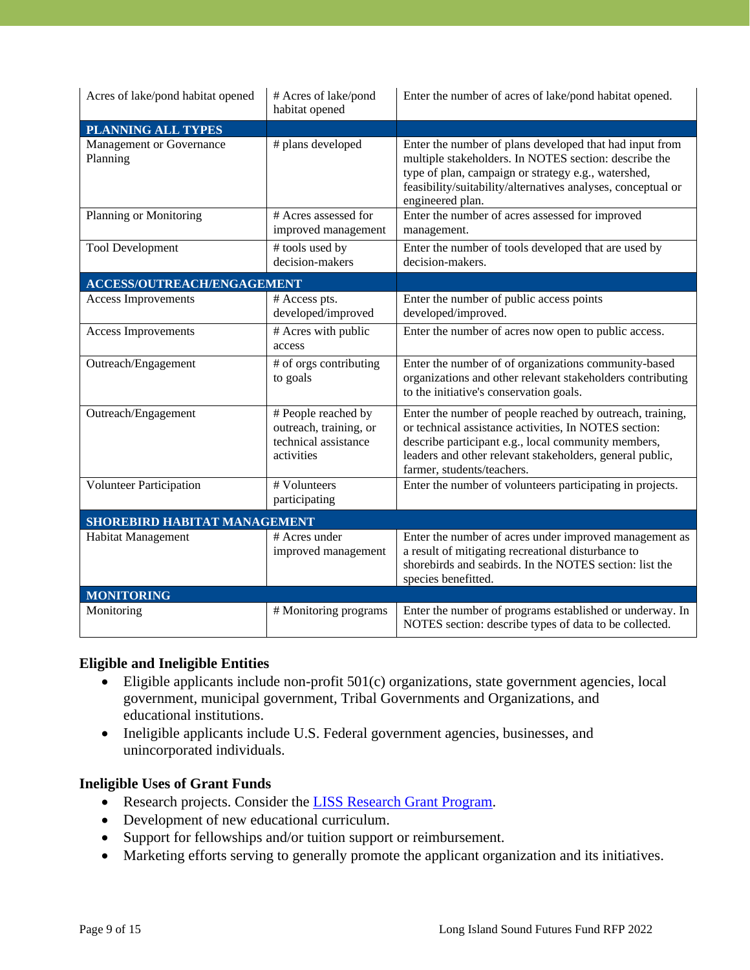| Acres of lake/pond habitat opened    | # Acres of lake/pond<br>habitat opened                                              | Enter the number of acres of lake/pond habitat opened.                                                                                                                                                                                                              |  |  |
|--------------------------------------|-------------------------------------------------------------------------------------|---------------------------------------------------------------------------------------------------------------------------------------------------------------------------------------------------------------------------------------------------------------------|--|--|
| <b>PLANNING ALL TYPES</b>            |                                                                                     |                                                                                                                                                                                                                                                                     |  |  |
| Management or Governance<br>Planning | # plans developed                                                                   | Enter the number of plans developed that had input from<br>multiple stakeholders. In NOTES section: describe the<br>type of plan, campaign or strategy e.g., watershed,<br>feasibility/suitability/alternatives analyses, conceptual or<br>engineered plan.         |  |  |
| Planning or Monitoring               | # Acres assessed for<br>improved management                                         | Enter the number of acres assessed for improved<br>management.                                                                                                                                                                                                      |  |  |
| <b>Tool Development</b>              | # tools used by<br>decision-makers                                                  | Enter the number of tools developed that are used by<br>decision-makers.                                                                                                                                                                                            |  |  |
| <b>ACCESS/OUTREACH/ENGAGEMENT</b>    |                                                                                     |                                                                                                                                                                                                                                                                     |  |  |
| Access Improvements                  | # Access pts.<br>developed/improved                                                 | Enter the number of public access points<br>developed/improved.                                                                                                                                                                                                     |  |  |
| Access Improvements                  | # Acres with public<br>access                                                       | Enter the number of acres now open to public access.                                                                                                                                                                                                                |  |  |
| Outreach/Engagement                  | # of orgs contributing<br>to goals                                                  | Enter the number of of organizations community-based<br>organizations and other relevant stakeholders contributing<br>to the initiative's conservation goals.                                                                                                       |  |  |
| Outreach/Engagement                  | # People reached by<br>outreach, training, or<br>technical assistance<br>activities | Enter the number of people reached by outreach, training,<br>or technical assistance activities, In NOTES section:<br>describe participant e.g., local community members,<br>leaders and other relevant stakeholders, general public,<br>farmer, students/teachers. |  |  |
| <b>Volunteer Participation</b>       | # Volunteers<br>participating                                                       | Enter the number of volunteers participating in projects.                                                                                                                                                                                                           |  |  |
| <b>SHOREBIRD HABITAT MANAGEMENT</b>  |                                                                                     |                                                                                                                                                                                                                                                                     |  |  |
| Habitat Management                   | # Acres under<br>improved management                                                | Enter the number of acres under improved management as<br>a result of mitigating recreational disturbance to<br>shorebirds and seabirds. In the NOTES section: list the<br>species benefitted.                                                                      |  |  |
| <b>MONITORING</b>                    |                                                                                     |                                                                                                                                                                                                                                                                     |  |  |
| Monitoring                           | # Monitoring programs                                                               | Enter the number of programs established or underway. In<br>NOTES section: describe types of data to be collected.                                                                                                                                                  |  |  |

#### **Eligible and Ineligible Entities**

- Eligible applicants include non-profit 501(c) organizations, state government agencies, local government, municipal government, Tribal Governments and Organizations, and educational institutions.
- Ineligible applicants include U.S. Federal government agencies, businesses, and unincorporated individuals.

#### **Ineligible Uses of Grant Funds**

- Research projects. Consider the [LISS Research Grant Program.](http://longislandsoundstudy.net/about/grants/lis-research-grant-program/)
- Development of new educational curriculum.
- Support for fellowships and/or tuition support or reimbursement.
- Marketing efforts serving to generally promote the applicant organization and its initiatives.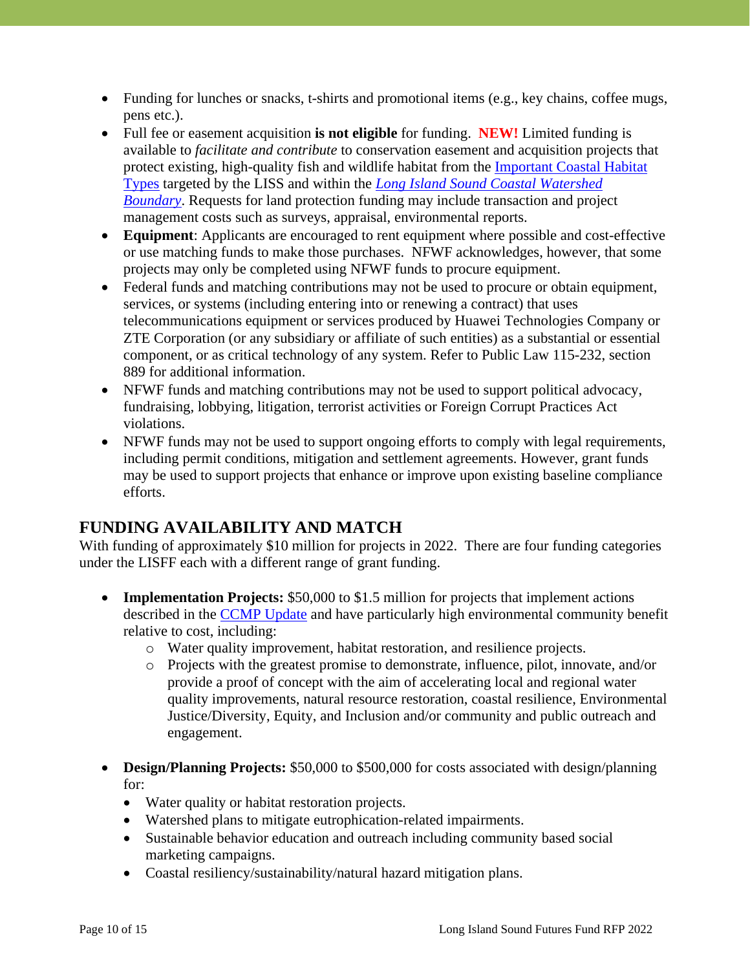- Funding for lunches or snacks, t-shirts and promotional items (e.g., key chains, coffee mugs, pens etc.).
- Full fee or easement acquisition **is not eligible** for funding. **NEW!** Limited funding is available to *facilitate and contribute* to conservation easement and acquisition projects that protect existing, high-quality fish and wildlife habitat from the [Important](http://longislandsoundstudy.net/our-vision-and-plan/thriving-habitats-and-abundant-wildlife/important-coastal-habitat-types/) Coastal Habitat [Types](http://longislandsoundstudy.net/our-vision-and-plan/thriving-habitats-and-abundant-wildlife/important-coastal-habitat-types/) targeted by the LISS and within the *Long Island Sound Coastal [Watershed](https://nfwf.maps.arcgis.com/apps/webappviewer/index.html?id=0e3a87a189e8458195217e18c36ded59) [Boundary](https://nfwf.maps.arcgis.com/apps/webappviewer/index.html?id=0e3a87a189e8458195217e18c36ded59)*. Requests for land protection funding may include transaction and project management costs such as surveys, appraisal, environmental reports.
- **Equipment**: Applicants are encouraged to rent equipment where possible and cost-effective or use matching funds to make those purchases. NFWF acknowledges, however, that some projects may only be completed using NFWF funds to procure equipment.
- Federal funds and matching contributions may not be used to procure or obtain equipment, services, or systems (including entering into or renewing a contract) that uses telecommunications equipment or services produced by Huawei Technologies Company or ZTE Corporation (or any subsidiary or affiliate of such entities) as a substantial or essential component, or as critical technology of any system. Refer to Public Law 115-232, section 889 for additional information.
- NFWF funds and matching contributions may not be used to support political advocacy, fundraising, lobbying, litigation, terrorist activities or Foreign Corrupt Practices Act violations.
- NFWF funds may not be used to support ongoing efforts to comply with legal requirements, including permit conditions, mitigation and settlement agreements. However, grant funds may be used to support projects that enhance or improve upon existing baseline compliance efforts.

### **FUNDING AVAILABILITY AND MATCH**

With funding of approximately \$10 million for projects in 2022. There are four funding categories under the LISFF each with a different range of grant funding.

- **Implementation Projects:** \$50,000 to \$1.5 million for projects that implement actions described in the [CCMP Update](https://longislandsoundstudy.net/2021/01/ccmp-implementation-actions-supplemental-documents/) and have particularly high environmental community benefit relative to cost, including:
	- o Water quality improvement, habitat restoration, and resilience projects.
	- o Projects with the greatest promise to demonstrate, influence, pilot, innovate, and/or provide a proof of concept with the aim of accelerating local and regional water quality improvements, natural resource restoration, coastal resilience, Environmental Justice/Diversity, Equity, and Inclusion and/or community and public outreach and engagement.
- **Design/Planning Projects:** \$50,000 to \$500,000 for costs associated with design/planning for:
	- Water quality or habitat restoration projects.
	- Watershed plans to mitigate eutrophication-related impairments.
	- Sustainable behavior education and outreach including community based social marketing campaigns.
	- Coastal resiliency/sustainability/natural hazard mitigation plans.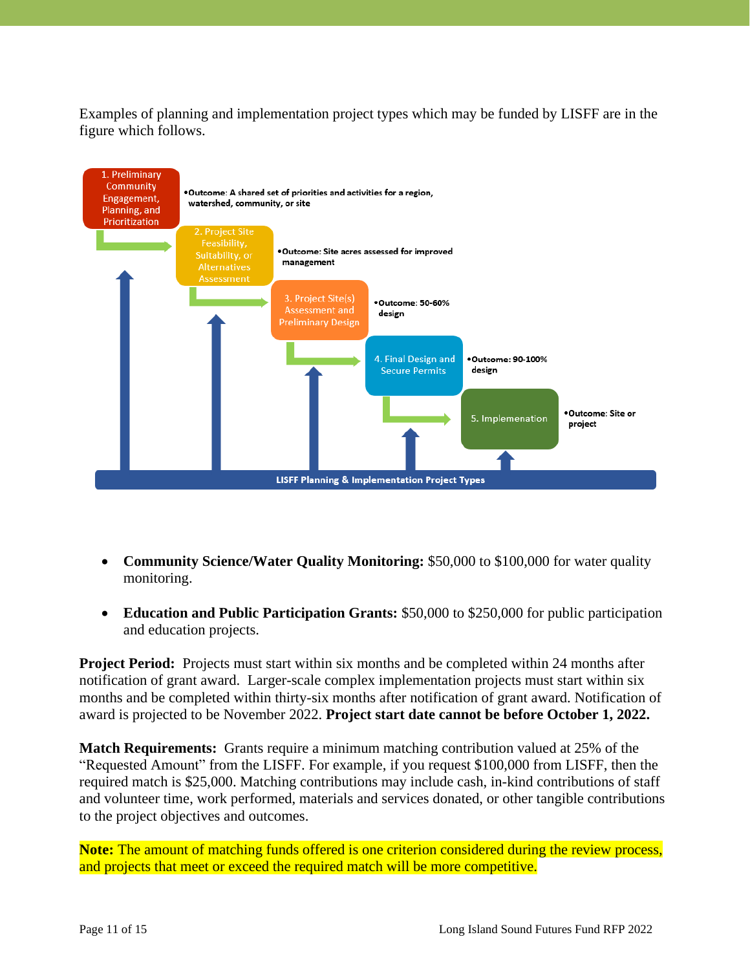Examples of planning and implementation project types which may be funded by LISFF are in the figure which follows.



- **Community Science/Water Quality Monitoring:** \$50,000 to \$100,000 for water quality monitoring.
- **Education and Public Participation Grants:** \$50,000 to \$250,000 for public participation and education projects.

**Project Period:** Projects must start within six months and be completed within 24 months after notification of grant award. Larger-scale complex implementation projects must start within six months and be completed within thirty-six months after notification of grant award. Notification of award is projected to be November 2022. **Project start date cannot be before October 1, 2022.** 

**Match Requirements:** Grants require a minimum matching contribution valued at 25% of the "Requested Amount" from the LISFF. For example, if you request \$100,000 from LISFF, then the required match is \$25,000. Matching contributions may include cash, in-kind contributions of staff and volunteer time, work performed, materials and services donated, or other tangible contributions to the project objectives and outcomes.

**Note:** The amount of matching funds offered is one criterion considered during the review process, and projects that meet or exceed the required match will be more competitive.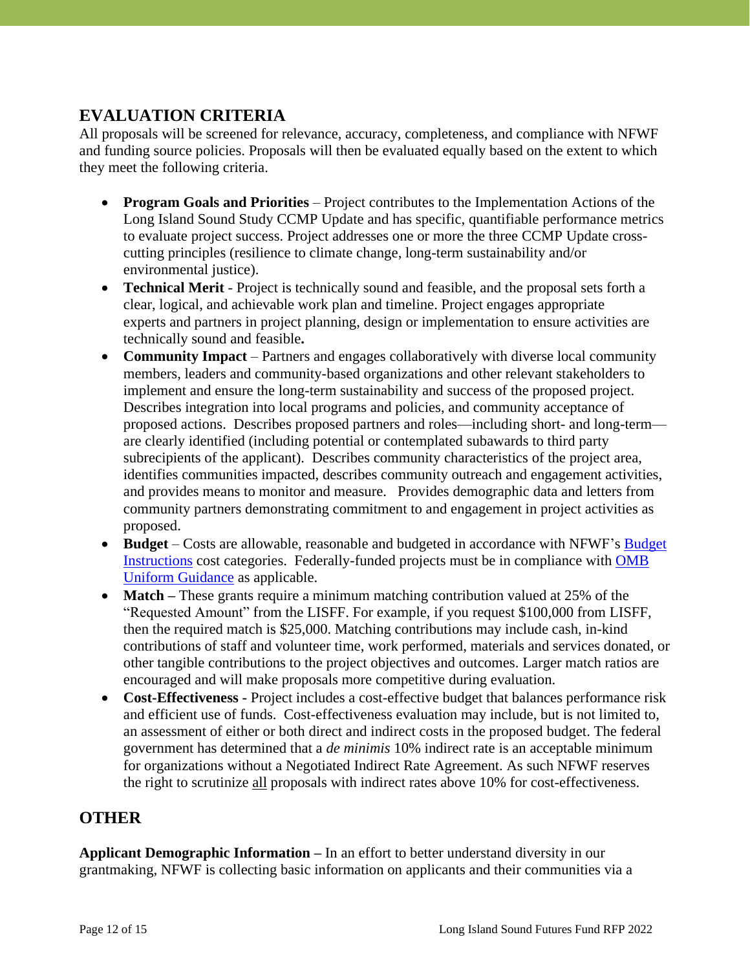# **EVALUATION CRITERIA**

All proposals will be screened for relevance, accuracy, completeness, and compliance with NFWF and funding source policies. Proposals will then be evaluated equally based on the extent to which they meet the following criteria.

- **Program Goals and Priorities** Project contributes to the Implementation Actions of the Long Island Sound Study CCMP Update and has specific, quantifiable performance metrics to evaluate project success. Project addresses one or more the three CCMP Update crosscutting principles (resilience to climate change, long-term sustainability and/or environmental justice).
- **Technical Merit** Project is technically sound and feasible, and the proposal sets forth a clear, logical, and achievable work plan and timeline. Project engages appropriate experts and partners in project planning, design or implementation to ensure activities are technically sound and feasible**.**
- **Community Impact** Partners and engages collaboratively with diverse local community members, leaders and community-based organizations and other relevant stakeholders to implement and ensure the long-term sustainability and success of the proposed project. Describes integration into local programs and policies, and community acceptance of proposed actions. Describes proposed partners and roles—including short- and long-term are clearly identified (including potential or contemplated subawards to third party subrecipients of the applicant). Describes community characteristics of the project area, identifies communities impacted, describes community outreach and engagement activities, and provides means to monitor and measure. Provides demographic data and letters from community partners demonstrating commitment to and engagement in project activities as proposed.
- **Budget** Costs are allowable, reasonable and budgeted in accordance with NFWF's **Budget** [Instructions](https://www.nfwf.org/apply-grant/application-information/budget-instructions) cost categories. Federally-funded projects must be in compliance with [OMB](http://www.ecfr.gov/cgi-bin/text-idx?SID=704835d27377ef5213a51c149de40cab&node=2:1.1.2.2.1&rgn=div5)  [Uniform Guidance](http://www.ecfr.gov/cgi-bin/text-idx?SID=704835d27377ef5213a51c149de40cab&node=2:1.1.2.2.1&rgn=div5) as applicable.
- **Match** These grants require a minimum matching contribution valued at 25% of the "Requested Amount" from the LISFF. For example, if you request \$100,000 from LISFF, then the required match is \$25,000. Matching contributions may include cash, in-kind contributions of staff and volunteer time, work performed, materials and services donated, or other tangible contributions to the project objectives and outcomes. Larger match ratios are encouraged and will make proposals more competitive during evaluation.
- **Cost-Effectiveness -** Project includes a cost-effective budget that balances performance risk and efficient use of funds. Cost-effectiveness evaluation may include, but is not limited to, an assessment of either or both direct and indirect costs in the proposed budget. The federal government has determined that a *de minimis* 10% indirect rate is an acceptable minimum for organizations without a Negotiated Indirect Rate Agreement. As such NFWF reserves the right to scrutinize all proposals with indirect rates above 10% for cost-effectiveness.

### **OTHER**

**Applicant Demographic Information –** In an effort to better understand diversity in our grantmaking, NFWF is collecting basic information on applicants and their communities via a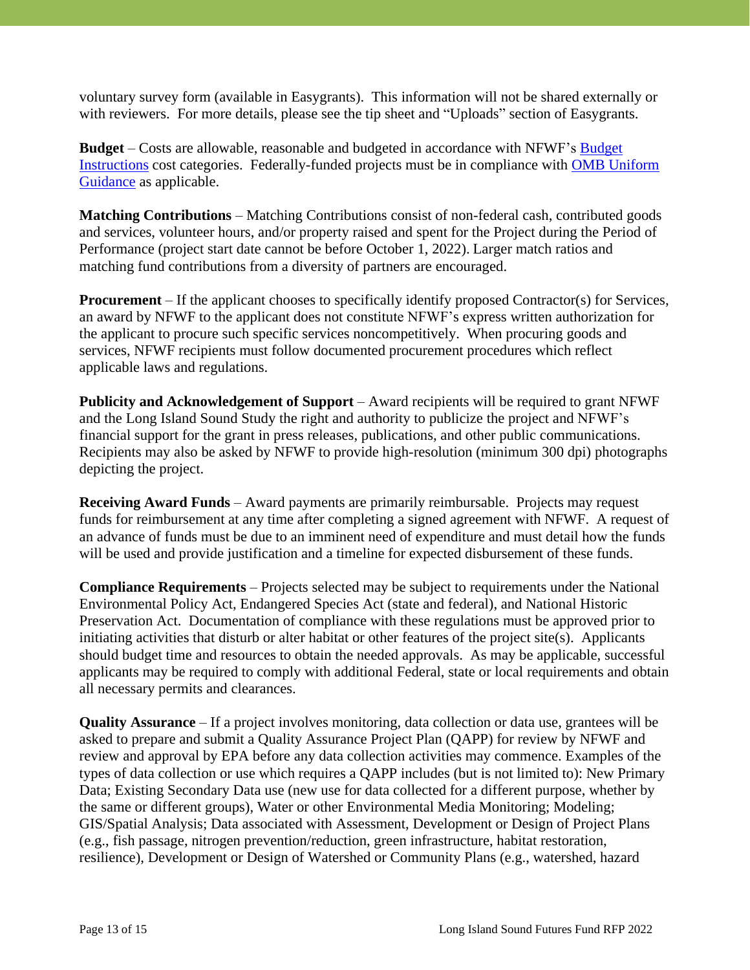voluntary survey form (available in Easygrants). This information will not be shared externally or with reviewers. For more details, please see the tip sheet and "Uploads" section of Easygrants.

**Budget** – Costs are allowable, reasonable and budgeted in accordance with NFWF's [Budget](https://www.nfwf.org/apply-grant/application-information/budget-instructions)  [Instructions](https://www.nfwf.org/apply-grant/application-information/budget-instructions) cost categories. Federally-funded projects must be in compliance with [OMB Uniform](http://www.ecfr.gov/cgi-bin/text-idx?SID=704835d27377ef5213a51c149de40cab&node=2:1.1.2.2.1&rgn=div5)  [Guidance](http://www.ecfr.gov/cgi-bin/text-idx?SID=704835d27377ef5213a51c149de40cab&node=2:1.1.2.2.1&rgn=div5) as applicable.

**Matching Contributions** – Matching Contributions consist of non-federal cash, contributed goods and services, volunteer hours, and/or property raised and spent for the Project during the Period of Performance (project start date cannot be before October 1, 2022). Larger match ratios and matching fund contributions from a diversity of partners are encouraged.

**Procurement** – If the applicant chooses to specifically identify proposed Contractor(s) for Services, an award by NFWF to the applicant does not constitute NFWF's express written authorization for the applicant to procure such specific services noncompetitively. When procuring goods and services, NFWF recipients must follow documented procurement procedures which reflect applicable laws and regulations.

**Publicity and Acknowledgement of Support** – Award recipients will be required to grant NFWF and the Long Island Sound Study the right and authority to publicize the project and NFWF's financial support for the grant in press releases, publications, and other public communications. Recipients may also be asked by NFWF to provide high-resolution (minimum 300 dpi) photographs depicting the project.

**Receiving Award Funds** – Award payments are primarily reimbursable. Projects may request funds for reimbursement at any time after completing a signed agreement with NFWF. A request of an advance of funds must be due to an imminent need of expenditure and must detail how the funds will be used and provide justification and a timeline for expected disbursement of these funds.

**Compliance Requirements** – Projects selected may be subject to requirements under the National Environmental Policy Act, Endangered Species Act (state and federal), and National Historic Preservation Act. Documentation of compliance with these regulations must be approved prior to initiating activities that disturb or alter habitat or other features of the project site(s). Applicants should budget time and resources to obtain the needed approvals. As may be applicable, successful applicants may be required to comply with additional Federal, state or local requirements and obtain all necessary permits and clearances.

**Quality Assurance** – If a project involves monitoring, data collection or data use, grantees will be asked to prepare and submit a Quality Assurance Project Plan (QAPP) for review by NFWF and review and approval by EPA before any data collection activities may commence. Examples of the types of data collection or use which requires a QAPP includes (but is not limited to): New Primary Data; Existing Secondary Data use (new use for data collected for a different purpose, whether by the same or different groups), Water or other Environmental Media Monitoring; Modeling; GIS/Spatial Analysis; Data associated with Assessment, Development or Design of Project Plans (e.g., fish passage, nitrogen prevention/reduction, green infrastructure, habitat restoration, resilience), Development or Design of Watershed or Community Plans (e.g., watershed, hazard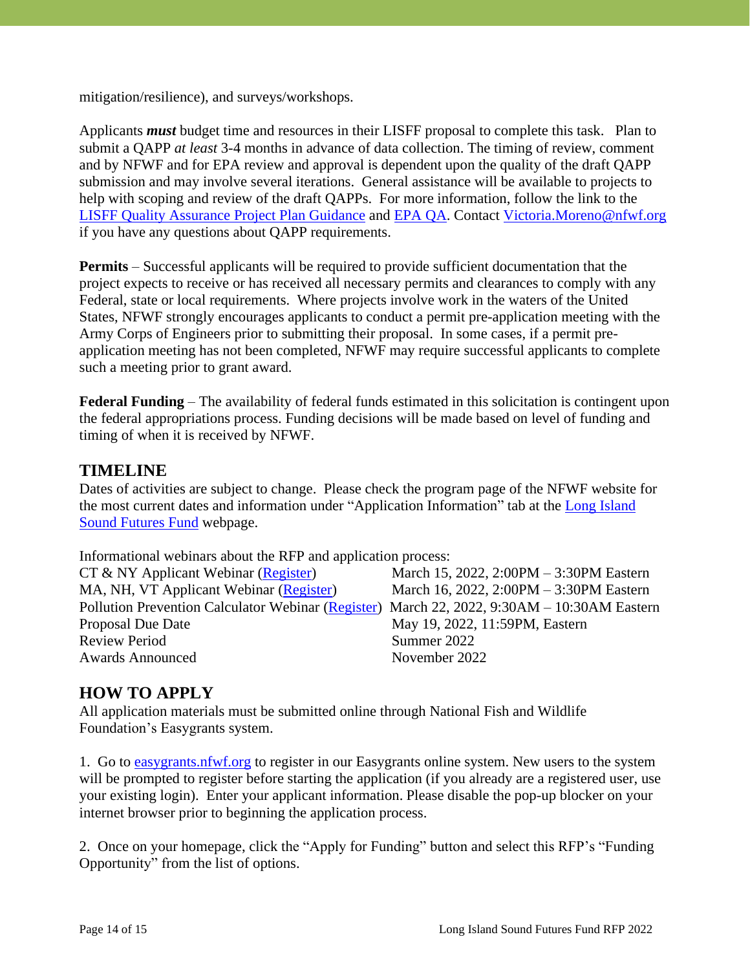mitigation/resilience), and surveys/workshops.

Applicants *must* budget time and resources in their LISFF proposal to complete this task. Plan to submit a QAPP *at least* 3-4 months in advance of data collection. The timing of review, comment and by NFWF and for EPA review and approval is dependent upon the quality of the draft QAPP submission and may involve several iterations. General assistance will be available to projects to help with scoping and review of the draft QAPPs. For more information, follow the link to the [LISFF Quality Assurance Project Plan](https://www.nfwf.org/programs/long-island-sound-futures-fund/quality-assurance-project-plan-development-guidance) Guidance and [EPA QA.](http://www.epa.gov/quality) Contact [Victoria.Moreno@nfwf.org](mailto:Victoria.Moreno@nfwf.org) if you have any questions about QAPP requirements.

**Permits** – Successful applicants will be required to provide sufficient documentation that the project expects to receive or has received all necessary permits and clearances to comply with any Federal, state or local requirements. Where projects involve work in the waters of the United States, NFWF strongly encourages applicants to conduct a permit pre-application meeting with the Army Corps of Engineers prior to submitting their proposal. In some cases, if a permit preapplication meeting has not been completed, NFWF may require successful applicants to complete such a meeting prior to grant award.

**Federal Funding** – The availability of federal funds estimated in this solicitation is contingent upon the federal appropriations process. Funding decisions will be made based on level of funding and timing of when it is received by NFWF.

### **TIMELINE**

Dates of activities are subject to change. Please check the program page of the NFWF website for the most current dates and information under "Application Information" tab at the [Long Island](http://www.nfwf.org/lisff) Sound [Futures Fund](http://www.nfwf.org/lisff) webpage.

Informational webinars about the RFP and application process:

| $CT \& NY$ Applicant Webinar (Register)                                                     | March 15, 2022, 2:00PM - 3:30PM Eastern |
|---------------------------------------------------------------------------------------------|-----------------------------------------|
| MA, NH, VT Applicant Webinar (Register)                                                     | March 16, 2022, 2:00PM - 3:30PM Eastern |
| Pollution Prevention Calculator Webinar (Register) March 22, 2022, 9:30AM - 10:30AM Eastern |                                         |
| Proposal Due Date                                                                           | May 19, 2022, 11:59PM, Eastern          |
| <b>Review Period</b>                                                                        | Summer 2022                             |
| <b>Awards Announced</b>                                                                     | November 2022                           |
|                                                                                             |                                         |

### **HOW TO APPLY**

All application materials must be submitted online through National Fish and Wildlife Foundation's Easygrants system.

1. Go to [easygrants.nfwf.org](https://easygrants.nfwf.org/) to register in our Easygrants online system. New users to the system will be prompted to register before starting the application (if you already are a registered user, use your existing login). Enter your applicant information. Please disable the pop-up blocker on your internet browser prior to beginning the application process.

2. Once on your homepage, click the "Apply for Funding" button and select this RFP's "Funding Opportunity" from the list of options.